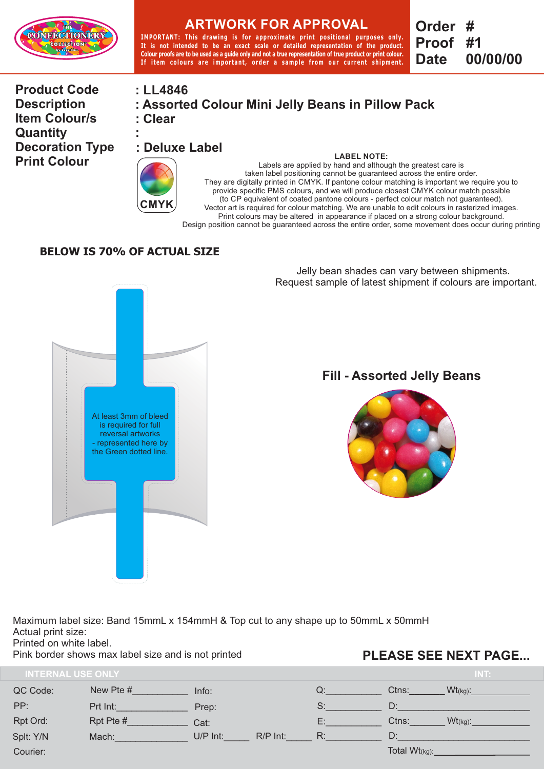

# **ARTWORK FOR APPROVAL**

**IMPORTANT: Thi s drawing i s for approximate pr int pos i t ional purposes only. It is not intended to be an exact scale or detailed representation of the product. Colour proofs are to be used as a guide only and not a true representation of true product or print colour.**  If item colours are important, order a sample from our current shipment. **Order # Proof Date #1 00/00/00**

**Product Code Description Item Colour/s Quantity Decoration Type Print Colour** 

### **: LL4846**

**: Clear : Assorted Colour Mini Jelly Beans in Pillow Pack** 

**: : Deluxe Label** 



#### **LABEL NOTE:**  Labels are applied by hand and although the greatest care is taken label positioning cannot be guaranteed across the entire order. They are digitally printed in CMYK. If pantone colour matching is important we require you to provide specific PMS colours, and we will produce closest CMYK colour match possible (to CP equivalent of coated pantone colours - perfect colour match not guaranteed). Vector art is required for colour matching. We are unable to edit colours in rasterized images. Print colours may be altered in appearance if placed on a strong colour background. Design position cannot be guaranteed across the entire order, some movement does occur during printing

#### **BELOW IS 70% OF ACTUAL SIZE**



Jelly bean shades can vary between shipments. Request sample of latest shipment if colours are important.

## **Fill - Assorted Jelly Beans**



Maximum label size: Band 15mmL x 154mmH & Top cut to any shape up to 50mmL x 50mmH Actual print size:

Printed on white label.

Pink border shows max label size and is not printed

## **PLEASE SEE NEXT PAGE...**

| <b>INTERNAL USE ONLY</b> |           |          |          |    |                  | INT:       |
|--------------------------|-----------|----------|----------|----|------------------|------------|
| QC Code:                 | New Pte # | Info:    |          | Q: | Ctns:            | $Wt$ (kg): |
| PP:                      | Prt Int:  | Prep:    |          | S: | D:               |            |
| Rpt Ord:                 | Rpt Pte # | Cat:     |          | E: | Ctns:            | $Wt(kg)$ : |
| Splt: Y/N                | Mach:     | U/P Int: | R/P Int: | R: | D:               |            |
| Courier:                 |           |          |          |    | Total $Wt(kg)$ : |            |